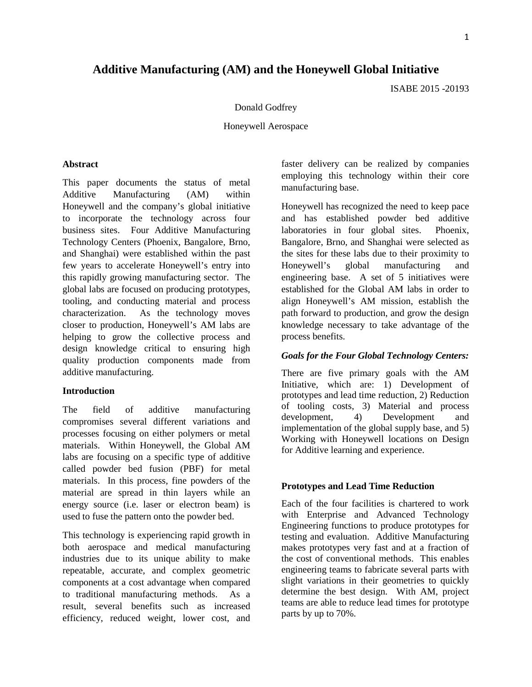# **Additive Manufacturing (AM) and the Honeywell Global Initiative**

ISABE 2015 -20193

#### Donald Godfrey

Honeywell Aerospace

#### **Abstract**

This paper documents the status of metal Additive Manufacturing (AM) within Honeywell and the company's global initiative to incorporate the technology across four business sites. Four Additive Manufacturing Technology Centers (Phoenix, Bangalore, Brno, and Shanghai) were established within the past few years to accelerate Honeywell's entry into this rapidly growing manufacturing sector. The global labs are focused on producing prototypes, tooling, and conducting material and process characterization. As the technology moves closer to production, Honeywell's AM labs are helping to grow the collective process and design knowledge critical to ensuring high quality production components made from additive manufacturing.

# **Introduction**

The field of additive manufacturing compromises several different variations and processes focusing on either polymers or metal materials. Within Honeywell, the Global AM labs are focusing on a specific type of additive called powder bed fusion (PBF) for metal materials. In this process, fine powders of the material are spread in thin layers while an energy source (i.e. laser or electron beam) is used to fuse the pattern onto the powder bed.

This technology is experiencing rapid growth in both aerospace and medical manufacturing industries due to its unique ability to make repeatable, accurate, and complex geometric components at a cost advantage when compared to traditional manufacturing methods. As a result, several benefits such as increased efficiency, reduced weight, lower cost, and

faster delivery can be realized by companies employing this technology within their core manufacturing base.

Honeywell has recognized the need to keep pace and has established powder bed additive laboratories in four global sites. Phoenix, Bangalore, Brno, and Shanghai were selected as the sites for these labs due to their proximity to Honeywell's global manufacturing and engineering base. A set of 5 initiatives were established for the Global AM labs in order to align Honeywell's AM mission, establish the path forward to production, and grow the design knowledge necessary to take advantage of the process benefits.

#### *Goals for the Four Global Technology Centers:*

There are five primary goals with the AM Initiative, which are: 1) Development of prototypes and lead time reduction, 2) Reduction of tooling costs, 3) Material and process development, 4) Development and implementation of the global supply base, and 5) Working with Honeywell locations on Design for Additive learning and experience.

# **Prototypes and Lead Time Reduction**

Each of the four facilities is chartered to work with Enterprise and Advanced Technology Engineering functions to produce prototypes for testing and evaluation. Additive Manufacturing makes prototypes very fast and at a fraction of the cost of conventional methods. This enables engineering teams to fabricate several parts with slight variations in their geometries to quickly determine the best design. With AM, project teams are able to reduce lead times for prototype parts by up to 70%.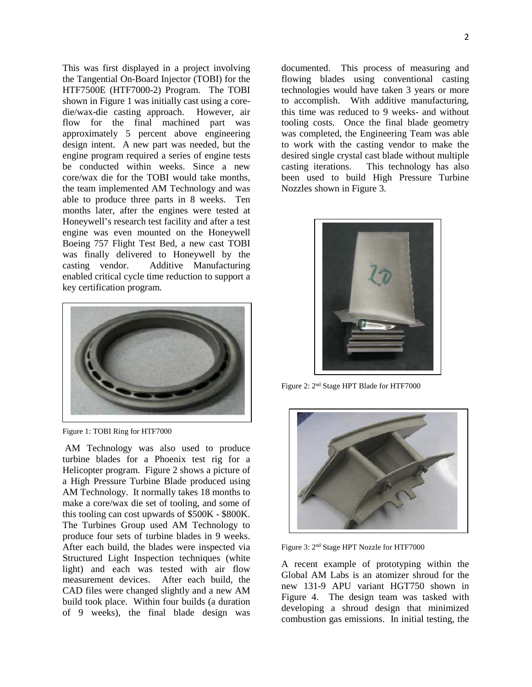This was first displayed in a project involving the Tangential On-Board Injector (TOBI) for the HTF7500E (HTF7000-2) Program. The TOBI shown in Figure 1 was initially cast using a coredie/wax-die casting approach. However, air flow for the final machined part was approximately 5 percent above engineering design intent. A new part was needed, but the engine program required a series of engine tests be conducted within weeks. Since a new core/wax die for the TOBI would take months, the team implemented AM Technology and was able to produce three parts in 8 weeks. Ten months later, after the engines were tested at Honeywell's research test facility and after a test engine was even mounted on the Honeywell Boeing 757 Flight Test Bed, a new cast TOBI was finally delivered to Honeywell by the casting vendor. Additive Manufacturing enabled critical cycle time reduction to support a key certification program.



Figure 1: TOBI Ring for HTF7000

AM Technology was also used to produce turbine blades for a Phoenix test rig for a Helicopter program. Figure 2 shows a picture of a High Pressure Turbine Blade produced using AM Technology. It normally takes 18 months to make a core/wax die set of tooling, and some of this tooling can cost upwards of \$500K - \$800K. The Turbines Group used AM Technology to produce four sets of turbine blades in 9 weeks. After each build, the blades were inspected via Structured Light Inspection techniques (white light) and each was tested with air flow measurement devices. After each build, the CAD files were changed slightly and a new AM build took place. Within four builds (a duration of 9 weeks), the final blade design was

documented. This process of measuring and flowing blades using conventional casting technologies would have taken 3 years or more to accomplish. With additive manufacturing, this time was reduced to 9 weeks- and without tooling costs. Once the final blade geometry was completed, the Engineering Team was able to work with the casting vendor to make the desired single crystal cast blade without multiple casting iterations. This technology has also been used to build High Pressure Turbine Nozzles shown in Figure 3.



Figure 2: 2nd Stage HPT Blade for HTF7000



Figure 3: 2nd Stage HPT Nozzle for HTF7000

A recent example of prototyping within the Global AM Labs is an atomizer shroud for the new 131-9 APU variant HGT750 shown in Figure 4. The design team was tasked with developing a shroud design that minimized combustion gas emissions. In initial testing, the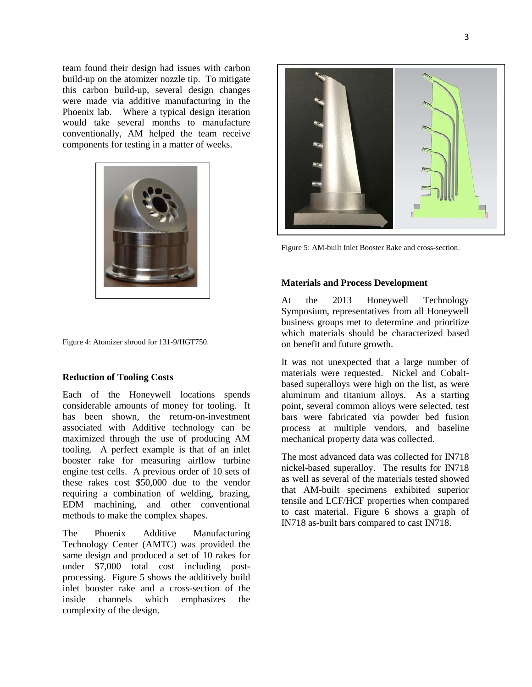team found their design had issues with carbon build-up on the atomizer nozzle tip. To mitigate this carbon build-up, several design changes were made via additive manufacturing in the Phoenix lab. Where a typical design iteration would take several months to manufacture conventionally, AM helped the team receive components for testing in a matter of weeks.



Figure 4: Atomizer shroud for 131-9/HGT750.

# **Reduction of Tooling Costs**

Each of the Honeywell locations spends considerable amounts of money for tooling. It has been shown, the return-on-investment associated with Additive technology can be maximized through the use of producing AM tooling. A perfect example is that of an inlet booster rake for measuring airflow turbine engine test cells. A previous order of 10 sets of these rakes cost \$50,000 due to the vendor requiring a combination of welding, brazing, EDM machining, and other conventional methods to make the complex shapes.

The Phoenix Additive Manufacturing Technology Center (AMTC) was provided the same design and produced a set of 10 rakes for under \$7,000 total cost including postprocessing. Figure 5 shows the additively build inlet booster rake and a cross-section of the inside channels which emphasizes the complexity of the design.



Figure 5: AM-built Inlet Booster Rake and cross-section.

## **Materials and Process Development**

At the 2013 Honeywell Technology Symposium, representatives from all Honeywell business groups met to determine and prioritize which materials should be characterized based on benefit and future growth.

It was not unexpected that a large number of materials were requested. Nickel and Cobaltbased superalloys were high on the list, as were aluminum and titanium alloys. As a starting point, several common alloys were selected, test bars were fabricated via powder bed fusion process at multiple vendors, and baseline mechanical property data was collected.

The most advanced data was collected for IN718 nickel-based superalloy. The results for IN718 as well as several of the materials tested showed that AM-built specimens exhibited superior tensile and LCF/HCF properties when compared to cast material. Figure 6 shows a graph of IN718 as-built bars compared to cast IN718.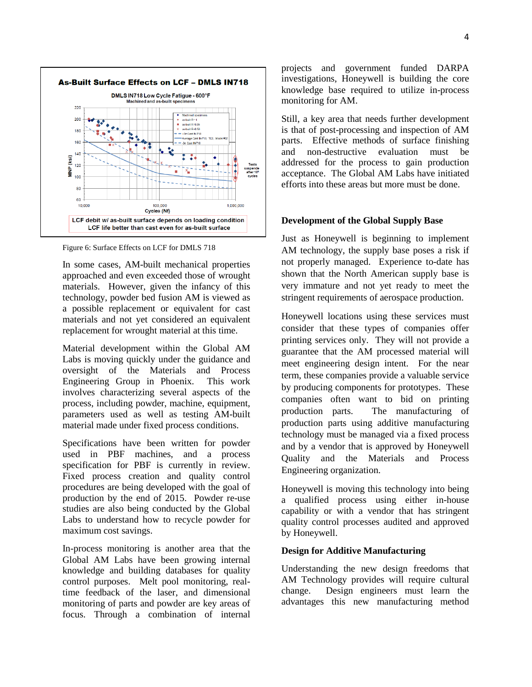

Figure 6: Surface Effects on LCF for DMLS 718

In some cases, AM-built mechanical properties approached and even exceeded those of wrought materials. However, given the infancy of this technology, powder bed fusion AM is viewed as a possible replacement or equivalent for cast materials and not yet considered an equivalent replacement for wrought material at this time.

Material development within the Global AM Labs is moving quickly under the guidance and oversight of the Materials and Process Engineering Group in Phoenix. This work involves characterizing several aspects of the process, including powder, machine, equipment, parameters used as well as testing AM-built material made under fixed process conditions.

Specifications have been written for powder used in PBF machines, and a process specification for PBF is currently in review. Fixed process creation and quality control procedures are being developed with the goal of production by the end of 2015. Powder re-use studies are also being conducted by the Global Labs to understand how to recycle powder for maximum cost savings.

In-process monitoring is another area that the Global AM Labs have been growing internal knowledge and building databases for quality control purposes. Melt pool monitoring, realtime feedback of the laser, and dimensional monitoring of parts and powder are key areas of focus. Through a combination of internal

projects and government funded DARPA investigations, Honeywell is building the core knowledge base required to utilize in-process monitoring for AM.

Still, a key area that needs further development is that of post-processing and inspection of AM parts. Effective methods of surface finishing and non-destructive evaluation must be addressed for the process to gain production acceptance. The Global AM Labs have initiated efforts into these areas but more must be done.

### **Development of the Global Supply Base**

Just as Honeywell is beginning to implement AM technology, the supply base poses a risk if not properly managed. Experience to-date has shown that the North American supply base is very immature and not yet ready to meet the stringent requirements of aerospace production.

Honeywell locations using these services must consider that these types of companies offer printing services only. They will not provide a guarantee that the AM processed material will meet engineering design intent. For the near term, these companies provide a valuable service by producing components for prototypes. These companies often want to bid on printing production parts. The manufacturing of production parts using additive manufacturing technology must be managed via a fixed process and by a vendor that is approved by Honeywell Quality and the Materials and Process Engineering organization.

Honeywell is moving this technology into being a qualified process using either in-house capability or with a vendor that has stringent quality control processes audited and approved by Honeywell.

### **Design for Additive Manufacturing**

Understanding the new design freedoms that AM Technology provides will require cultural change. Design engineers must learn the advantages this new manufacturing method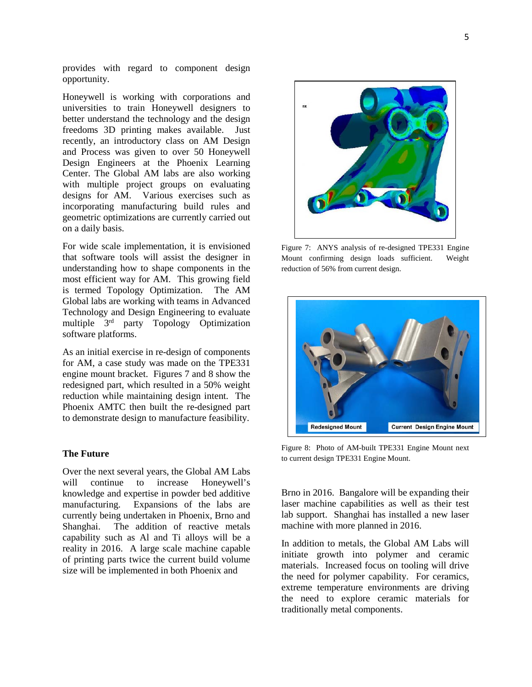provides with regard to component design opportunity.

Honeywell is working with corporations and universities to train Honeywell designers to better understand the technology and the design freedoms 3D printing makes available. Just recently, an introductory class on AM Design and Process was given to over 50 Honeywell Design Engineers at the Phoenix Learning Center. The Global AM labs are also working with multiple project groups on evaluating designs for AM. Various exercises such as incorporating manufacturing build rules and geometric optimizations are currently carried out on a daily basis.

For wide scale implementation, it is envisioned that software tools will assist the designer in understanding how to shape components in the most efficient way for AM. This growing field is termed Topology Optimization. The AM Global labs are working with teams in Advanced Technology and Design Engineering to evaluate multiple 3rd party Topology Optimization software platforms.

As an initial exercise in re-design of components for AM, a case study was made on the TPE331 engine mount bracket. Figures 7 and 8 show the redesigned part, which resulted in a 50% weight reduction while maintaining design intent. The Phoenix AMTC then built the re-designed part to demonstrate design to manufacture feasibility.

# **The Future**

Over the next several years, the Global AM Labs will continue to increase Honeywell's knowledge and expertise in powder bed additive manufacturing. Expansions of the labs are currently being undertaken in Phoenix, Brno and Shanghai. The addition of reactive metals capability such as Al and Ti alloys will be a reality in 2016. A large scale machine capable of printing parts twice the current build volume size will be implemented in both Phoenix and



Figure 7: ANYS analysis of re-designed TPE331 Engine Mount confirming design loads sufficient. Weight reduction of 56% from current design.



Figure 8: Photo of AM-built TPE331 Engine Mount next to current design TPE331 Engine Mount.

Brno in 2016. Bangalore will be expanding their laser machine capabilities as well as their test lab support. Shanghai has installed a new laser machine with more planned in 2016.

In addition to metals, the Global AM Labs will initiate growth into polymer and ceramic materials. Increased focus on tooling will drive the need for polymer capability. For ceramics, extreme temperature environments are driving the need to explore ceramic materials for traditionally metal components.